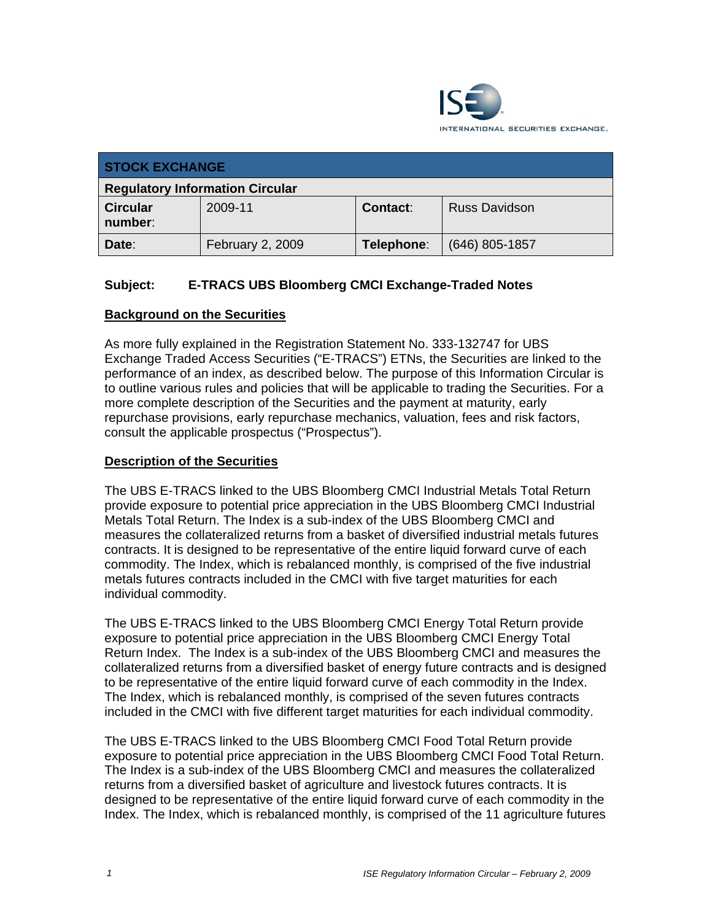

| <b>STOCK EXCHANGE</b>                  |                  |            |                      |  |
|----------------------------------------|------------------|------------|----------------------|--|
| <b>Regulatory Information Circular</b> |                  |            |                      |  |
| <b>Circular</b><br>number:             | 2009-11          | Contact:   | <b>Russ Davidson</b> |  |
| Date:                                  | February 2, 2009 | Telephone: | $(646)$ 805-1857     |  |

# **Subject: E-TRACS UBS Bloomberg CMCI Exchange-Traded Notes**

## **Background on the Securities**

As more fully explained in the Registration Statement No. 333-132747 for UBS Exchange Traded Access Securities ("E-TRACS") ETNs, the Securities are linked to the performance of an index, as described below. The purpose of this Information Circular is to outline various rules and policies that will be applicable to trading the Securities. For a more complete description of the Securities and the payment at maturity, early repurchase provisions, early repurchase mechanics, valuation, fees and risk factors, consult the applicable prospectus ("Prospectus").

#### **Description of the Securities**

The UBS E-TRACS linked to the UBS Bloomberg CMCI Industrial Metals Total Return provide exposure to potential price appreciation in the UBS Bloomberg CMCI Industrial Metals Total Return. The Index is a sub-index of the UBS Bloomberg CMCI and measures the collateralized returns from a basket of diversified industrial metals futures contracts. It is designed to be representative of the entire liquid forward curve of each commodity. The Index, which is rebalanced monthly, is comprised of the five industrial metals futures contracts included in the CMCI with five target maturities for each individual commodity.

The UBS E-TRACS linked to the UBS Bloomberg CMCI Energy Total Return provide exposure to potential price appreciation in the UBS Bloomberg CMCI Energy Total Return Index. The Index is a sub-index of the UBS Bloomberg CMCI and measures the collateralized returns from a diversified basket of energy future contracts and is designed to be representative of the entire liquid forward curve of each commodity in the Index. The Index, which is rebalanced monthly, is comprised of the seven futures contracts included in the CMCI with five different target maturities for each individual commodity.

The UBS E-TRACS linked to the UBS Bloomberg CMCI Food Total Return provide exposure to potential price appreciation in the UBS Bloomberg CMCI Food Total Return. The Index is a sub-index of the UBS Bloomberg CMCI and measures the collateralized returns from a diversified basket of agriculture and livestock futures contracts. It is designed to be representative of the entire liquid forward curve of each commodity in the Index. The Index, which is rebalanced monthly, is comprised of the 11 agriculture futures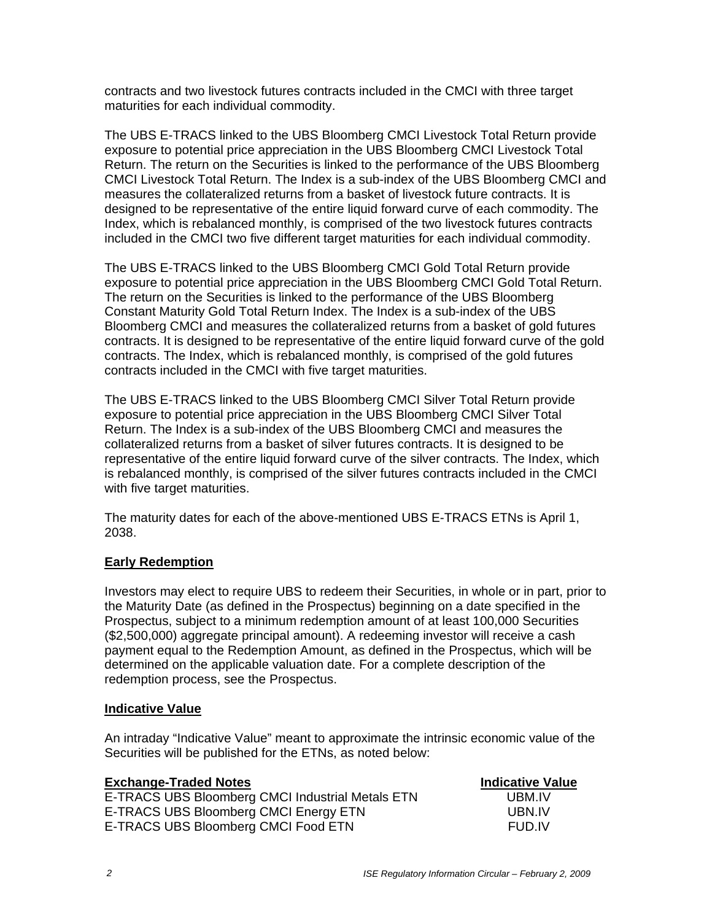contracts and two livestock futures contracts included in the CMCI with three target maturities for each individual commodity.

The UBS E-TRACS linked to the UBS Bloomberg CMCI Livestock Total Return provide exposure to potential price appreciation in the UBS Bloomberg CMCI Livestock Total Return. The return on the Securities is linked to the performance of the UBS Bloomberg CMCI Livestock Total Return. The Index is a sub-index of the UBS Bloomberg CMCI and measures the collateralized returns from a basket of livestock future contracts. It is designed to be representative of the entire liquid forward curve of each commodity. The Index, which is rebalanced monthly, is comprised of the two livestock futures contracts included in the CMCI two five different target maturities for each individual commodity.

The UBS E-TRACS linked to the UBS Bloomberg CMCI Gold Total Return provide exposure to potential price appreciation in the UBS Bloomberg CMCI Gold Total Return. The return on the Securities is linked to the performance of the UBS Bloomberg Constant Maturity Gold Total Return Index. The Index is a sub-index of the UBS Bloomberg CMCI and measures the collateralized returns from a basket of gold futures contracts. It is designed to be representative of the entire liquid forward curve of the gold contracts. The Index, which is rebalanced monthly, is comprised of the gold futures contracts included in the CMCI with five target maturities.

The UBS E-TRACS linked to the UBS Bloomberg CMCI Silver Total Return provide exposure to potential price appreciation in the UBS Bloomberg CMCI Silver Total Return. The Index is a sub-index of the UBS Bloomberg CMCI and measures the collateralized returns from a basket of silver futures contracts. It is designed to be representative of the entire liquid forward curve of the silver contracts. The Index, which is rebalanced monthly, is comprised of the silver futures contracts included in the CMCI with five target maturities.

The maturity dates for each of the above-mentioned UBS E-TRACS ETNs is April 1, 2038.

## **Early Redemption**

Investors may elect to require UBS to redeem their Securities, in whole or in part, prior to the Maturity Date (as defined in the Prospectus) beginning on a date specified in the Prospectus, subject to a minimum redemption amount of at least 100,000 Securities (\$2,500,000) aggregate principal amount). A redeeming investor will receive a cash payment equal to the Redemption Amount, as defined in the Prospectus, which will be determined on the applicable valuation date. For a complete description of the redemption process, see the Prospectus.

#### **Indicative Value**

An intraday "Indicative Value" meant to approximate the intrinsic economic value of the Securities will be published for the ETNs, as noted below:

| <b>Exchange-Traded Notes</b>                     | <b>Indicative Value</b> |
|--------------------------------------------------|-------------------------|
| E-TRACS UBS Bloomberg CMCI Industrial Metals ETN | UBM IV                  |
| E-TRACS UBS Bloomberg CMCI Energy ETN            | UBN IV                  |
| E-TRACS UBS Bloomberg CMCI Food ETN              | FUD.IV                  |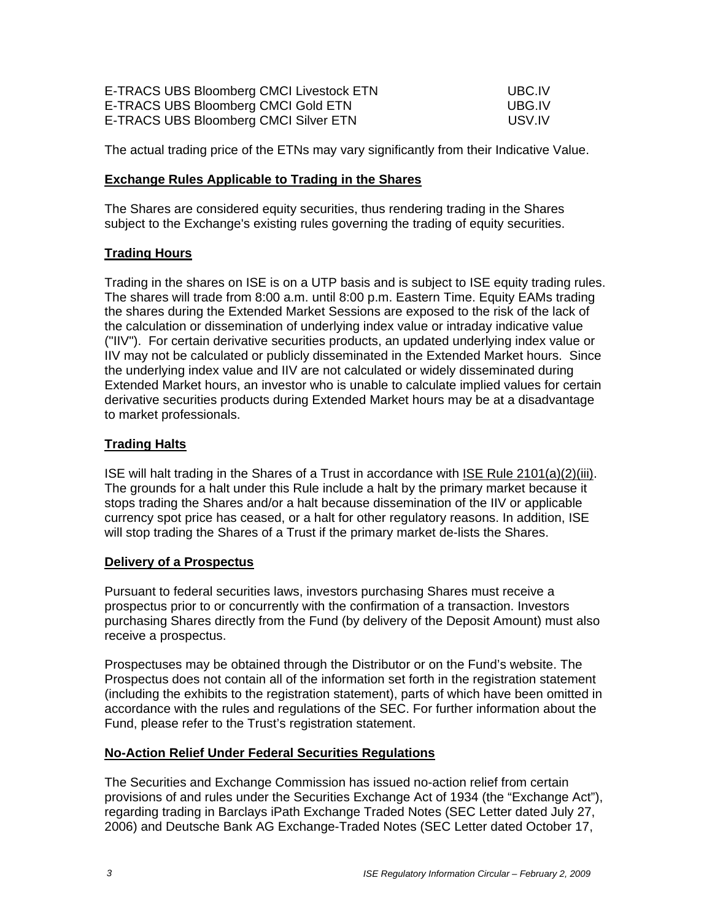| E-TRACS UBS Bloomberg CMCI Livestock ETN | UBC.IV  |
|------------------------------------------|---------|
| E-TRACS UBS Bloomberg CMCI Gold ETN      | UBG.IV  |
| E-TRACS UBS Bloomberg CMCI Silver ETN    | -USV.IV |

The actual trading price of the ETNs may vary significantly from their Indicative Value.

#### **Exchange Rules Applicable to Trading in the Shares**

The Shares are considered equity securities, thus rendering trading in the Shares subject to the Exchange's existing rules governing the trading of equity securities.

## **Trading Hours**

Trading in the shares on ISE is on a UTP basis and is subject to ISE equity trading rules. The shares will trade from 8:00 a.m. until 8:00 p.m. Eastern Time. Equity EAMs trading the shares during the Extended Market Sessions are exposed to the risk of the lack of the calculation or dissemination of underlying index value or intraday indicative value ("IIV"). For certain derivative securities products, an updated underlying index value or IIV may not be calculated or publicly disseminated in the Extended Market hours. Since the underlying index value and IIV are not calculated or widely disseminated during Extended Market hours, an investor who is unable to calculate implied values for certain derivative securities products during Extended Market hours may be at a disadvantage to market professionals.

## **Trading Halts**

ISE will halt trading in the Shares of a Trust in accordance with ISE Rule 2101(a)(2)(iii). The grounds for a halt under this Rule include a halt by the primary market because it stops trading the Shares and/or a halt because dissemination of the IIV or applicable currency spot price has ceased, or a halt for other regulatory reasons. In addition, ISE will stop trading the Shares of a Trust if the primary market de-lists the Shares.

## **Delivery of a Prospectus**

Pursuant to federal securities laws, investors purchasing Shares must receive a prospectus prior to or concurrently with the confirmation of a transaction. Investors purchasing Shares directly from the Fund (by delivery of the Deposit Amount) must also receive a prospectus.

Prospectuses may be obtained through the Distributor or on the Fund's website. The Prospectus does not contain all of the information set forth in the registration statement (including the exhibits to the registration statement), parts of which have been omitted in accordance with the rules and regulations of the SEC. For further information about the Fund, please refer to the Trust's registration statement.

## **No-Action Relief Under Federal Securities Regulations**

The Securities and Exchange Commission has issued no-action relief from certain provisions of and rules under the Securities Exchange Act of 1934 (the "Exchange Act"), regarding trading in Barclays iPath Exchange Traded Notes (SEC Letter dated July 27, 2006) and Deutsche Bank AG Exchange-Traded Notes (SEC Letter dated October 17,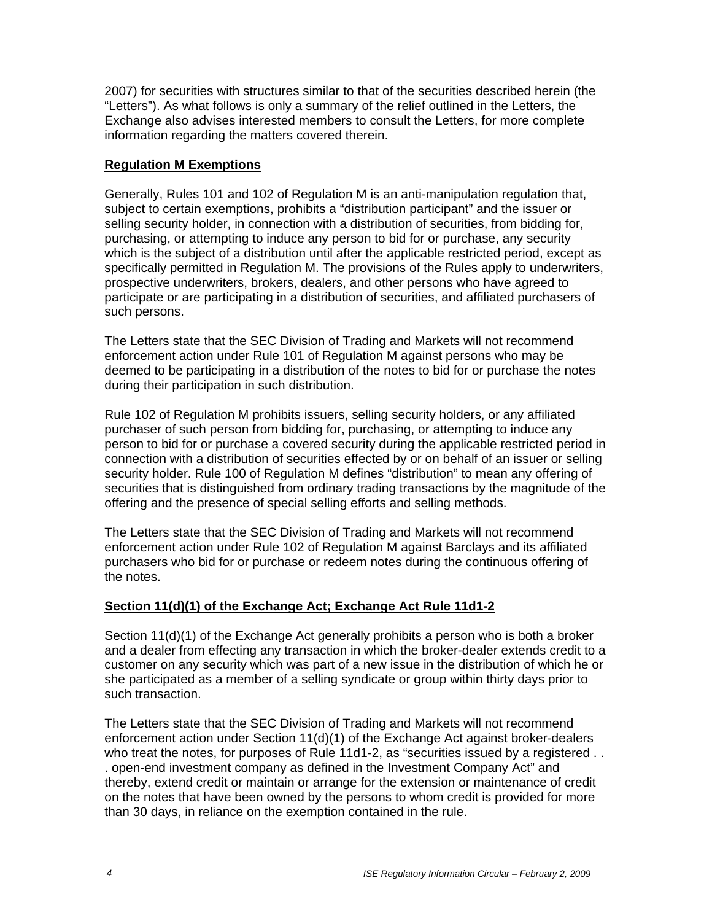2007) for securities with structures similar to that of the securities described herein (the "Letters"). As what follows is only a summary of the relief outlined in the Letters, the Exchange also advises interested members to consult the Letters, for more complete information regarding the matters covered therein.

## **Regulation M Exemptions**

Generally, Rules 101 and 102 of Regulation M is an anti-manipulation regulation that, subject to certain exemptions, prohibits a "distribution participant" and the issuer or selling security holder, in connection with a distribution of securities, from bidding for, purchasing, or attempting to induce any person to bid for or purchase, any security which is the subject of a distribution until after the applicable restricted period, except as specifically permitted in Regulation M. The provisions of the Rules apply to underwriters, prospective underwriters, brokers, dealers, and other persons who have agreed to participate or are participating in a distribution of securities, and affiliated purchasers of such persons.

The Letters state that the SEC Division of Trading and Markets will not recommend enforcement action under Rule 101 of Regulation M against persons who may be deemed to be participating in a distribution of the notes to bid for or purchase the notes during their participation in such distribution.

Rule 102 of Regulation M prohibits issuers, selling security holders, or any affiliated purchaser of such person from bidding for, purchasing, or attempting to induce any person to bid for or purchase a covered security during the applicable restricted period in connection with a distribution of securities effected by or on behalf of an issuer or selling security holder. Rule 100 of Regulation M defines "distribution" to mean any offering of securities that is distinguished from ordinary trading transactions by the magnitude of the offering and the presence of special selling efforts and selling methods.

The Letters state that the SEC Division of Trading and Markets will not recommend enforcement action under Rule 102 of Regulation M against Barclays and its affiliated purchasers who bid for or purchase or redeem notes during the continuous offering of the notes.

## **Section 11(d)(1) of the Exchange Act; Exchange Act Rule 11d1-2**

Section 11(d)(1) of the Exchange Act generally prohibits a person who is both a broker and a dealer from effecting any transaction in which the broker-dealer extends credit to a customer on any security which was part of a new issue in the distribution of which he or she participated as a member of a selling syndicate or group within thirty days prior to such transaction.

The Letters state that the SEC Division of Trading and Markets will not recommend enforcement action under Section 11(d)(1) of the Exchange Act against broker-dealers who treat the notes, for purposes of Rule 11d1-2, as "securities issued by a registered . . . open-end investment company as defined in the Investment Company Act" and thereby, extend credit or maintain or arrange for the extension or maintenance of credit on the notes that have been owned by the persons to whom credit is provided for more than 30 days, in reliance on the exemption contained in the rule.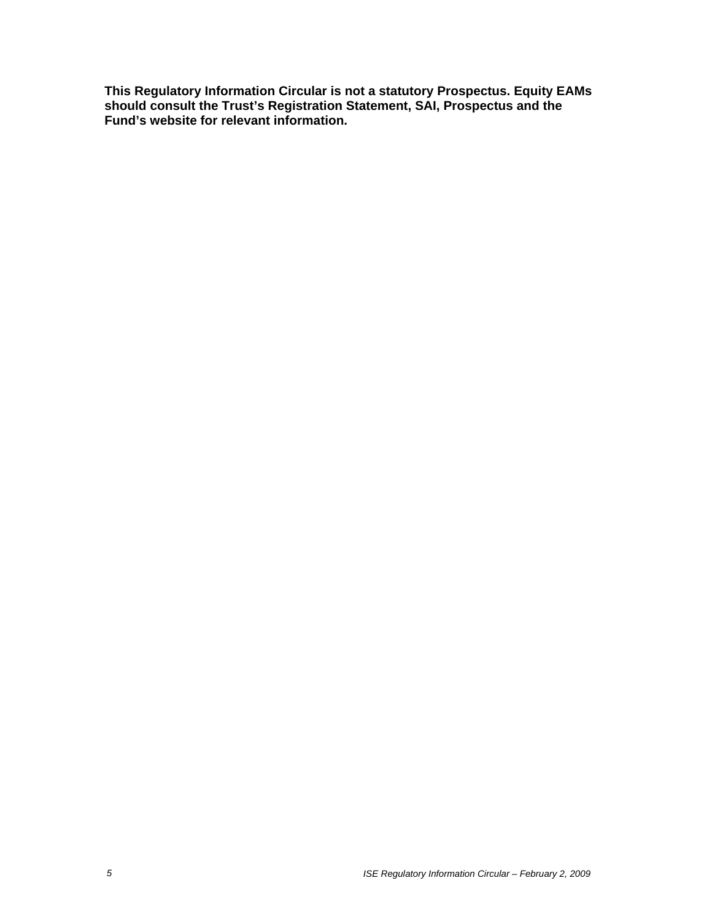**This Regulatory Information Circular is not a statutory Prospectus. Equity EAMs should consult the Trust's Registration Statement, SAI, Prospectus and the Fund's website for relevant information.**